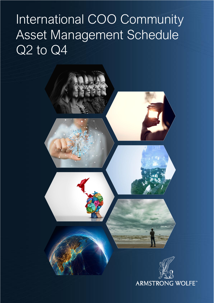# International COO Community Asset Management Schedule Q2 to Q4



**ARMSTRONG WOLFE™**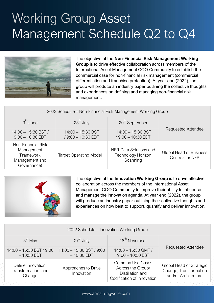## Working Group Asset Management Schedule Q2 to Q4



The objective of the **Non-Financial Risk Management Working Group** is to drive effective collaboration across members of the International Asset Management COO Community to establish the commercial case for non-financial risk management (commercial differentiation and franchise protection). At year end (2022), the group will produce an industry paper outlining the collective thoughts and experiences on defining and managing non-financial risk management.

2022 Schedule – Non-Financial Risk Management Working Group

| $9^{\text{th}}$ June                                                             | $25^{\text{th}}$ July                     | 20 <sup>th</sup> September                                      |                                                   |
|----------------------------------------------------------------------------------|-------------------------------------------|-----------------------------------------------------------------|---------------------------------------------------|
| $14:00 - 15:30$ BST /<br>$9:00 - 10:30$ EDT                                      | $14:00 - 15:30$ BST<br>/ 9:00 - 10:30 EDT | $14:00 - 15:30$ BST<br>/ 9:00 - 10:30 EDT                       | <b>Requested Attendee</b>                         |
| Non-Financial Risk<br>Management<br>(Framework,<br>Management and<br>Governance) | <b>Target Operating Model</b>             | NFR Data Solutions and<br><b>Technology Horizon</b><br>Scanning | <b>Global Head of Business</b><br>Controls or NFR |



The objective of the **Innovation Working Group** is to drive effective collaboration across the members of the International Asset Management COO Community to improve their ability to influence and manage the innovation agenda. At year end (2022), the group will produce an industry paper outlining their collective thoughts and experiences on how best to support, quantify and deliver innovation.

| 2022 Schedule – Innovation Working Group            |                                            |                                                                                                |                                                                           |
|-----------------------------------------------------|--------------------------------------------|------------------------------------------------------------------------------------------------|---------------------------------------------------------------------------|
| $5th$ May                                           | $27th$ July                                | 18 <sup>th</sup> November                                                                      |                                                                           |
| $14:00 - 15:30$ BST / 9:00<br>$-10:30$ EDT          | $14:00 - 15:30$ BST / 9:00<br>$-10:30$ EDT | 14:00 - 15:30 GMT /<br>$9:00 - 10:30$ EST                                                      | <b>Requested Attendee</b>                                                 |
| Define Innovation,<br>Transformation, and<br>Change | Approaches to Drive<br>Innovation          | <b>Common Use Cases</b><br>Across the Group/<br>Distillation and<br>Codification of Innovation | Global Head of Strategic<br>Change, Transformation<br>and/or Architecture |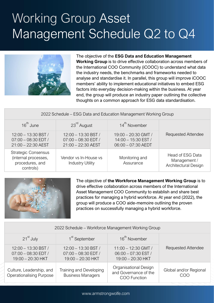# Working Group Asset Management Schedule Q2 to Q4



The objective of the **ESG Data and Education Management Working Group** is to drive effective collaboration across members of the International COO Community (iCOOC) to understand what data the industry needs, the benchmarks and frameworks needed to analyse and standardise it. In parallel, this group will improve iCOOC members' ability to implement educational initiatives to embed ESG factors into everyday decision-making within the business. At year end, the group will produce an industry paper outlining the collective thoughts on a common approach for ESG data standardisation.

2022 Schedule – ESG Data and Education Management Working Group

| $16^{\text{th}}$ June                                                              | 23 <sup>rd</sup> August                                              | 14 <sup>th</sup> November                                        |                                                          |
|------------------------------------------------------------------------------------|----------------------------------------------------------------------|------------------------------------------------------------------|----------------------------------------------------------|
| 12:00 - 13:30 BST /<br>07:00 - 08:30 EDT /<br>21:00 - 22:30 AEST                   | $12:00 - 13:30$ BST /<br>07:00 - 08:30 EDT /<br>$21:00 - 22:30$ AEST | 19:00 - 20:30 GMT /<br>14:00 - 15:30 EST /<br>06:00 - 07:30 AEDT | <b>Requested Attendee</b>                                |
| <b>Strategic Consensus</b><br>(internal processes,<br>procedures, and<br>controls) | Vendor vs In-House vs<br><b>Industry Utility</b>                     | Monitoring and<br>Assurance                                      | Head of ESG Data<br>Management /<br>Architectural Design |



The objective of **the Workforce Management Working Group** is to drive effective collaboration across members of the International Asset Management COO Community to establish and share best practices for managing a hybrid workforce. At year end (2022), the group will produce a COO aide-memoire outlining the proven practices on successfully managing a hybrid workforce.

| 2022 Schedule – Workforce Management Working Group                  |                                                                       |                                                                       |                               |
|---------------------------------------------------------------------|-----------------------------------------------------------------------|-----------------------------------------------------------------------|-------------------------------|
| $21st$ July                                                         | 1 <sup>st</sup> September                                             | 16 <sup>th</sup> November                                             |                               |
| $12:00 - 13:30$ BST /<br>$07:00 - 08:30$ EDT /<br>19:00 - 20:30 HKT | $12:00 - 13:30$ BST /<br>$07:00 - 08:30$ EDT /<br>$19:00 - 20:30$ HKT | $11:00 - 12:30$ GMT /<br>06:00 - 07:30 EST /<br>19:00 - 20:30 HKT     | Requested Attendee            |
| Culture, Leadership, and<br><b>Operationalising Purpose</b>         | Training and Developing<br><b>Business Managers</b>                   | Organisational Design<br>and Governance of the<br><b>COO</b> Function | Global and/or Regional<br>COO |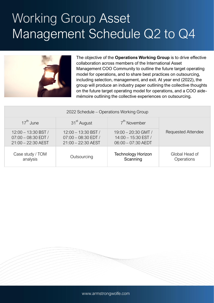### Working Group Asset Management Schedule Q2 to Q4



The objective of the **Operations Working Group** is to drive effective collaboration across members of the International Asset Management COO Community to outline the future target operating model for operations, and to share best practices on outsourcing, including selection, management, and exit. At year end (2022), the group will produce an industry paper outlining the collective thoughts on the future target operating model for operations, and a COO aidemémoire outlining the collective experiences on outsourcing.

| 2022 Schedule – Operations Working Group |                         |                           |                           |
|------------------------------------------|-------------------------|---------------------------|---------------------------|
| $17th$ June                              | 31 <sup>st</sup> August | 7 <sup>th</sup> November  |                           |
| $12:00 - 13:30$ BST /                    | $12:00 - 13:30$ BST /   | $19:00 - 20:30$ GMT /     | <b>Requested Attendee</b> |
| $07:00 - 08:30$ EDT /                    | $07:00 - 08:30$ EDT /   | 14:00 - 15:30 EST /       |                           |
| 21:00 - 22:30 AEST                       | 21:00 - 22:30 AEST      | $06:00 - 07:30$ AEDT      |                           |
| Case study / TOM                         | Outsourcing             | <b>Technology Horizon</b> | Global Head of            |
| analysis                                 |                         | Scanning                  | Operations                |

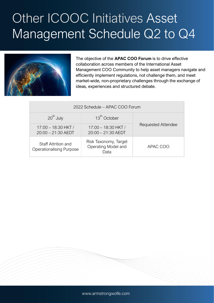# Other ICOOC Initiatives Asset Management Schedule Q2 to Q4



The objective of the **APAC COO Forum** is to drive effective collaboration across members of the International Asset Management COO Community to help asset managers navigate and efficiently implement regulations, not challenge them, and meet market-wide, non-proprietary challenges through the exchange of ideas, experiences and structured debate.

| 2022 Schedule - APAC COO Forum                         |                                                      |                           |  |
|--------------------------------------------------------|------------------------------------------------------|---------------------------|--|
| $20th$ July                                            | 13 <sup>th</sup> October                             | <b>Requested Attendee</b> |  |
| $17:00 - 18:30$ HKT /<br>20:00 - 21:30 AEDT            | $17:00 - 18:30$ HKT /<br>$20:00 - 21:30$ AEDT        |                           |  |
| Staff Attrition and<br><b>Operationalising Purpose</b> | Risk Taxonomy, Target<br>Operating Model and<br>Data | APAC COO                  |  |